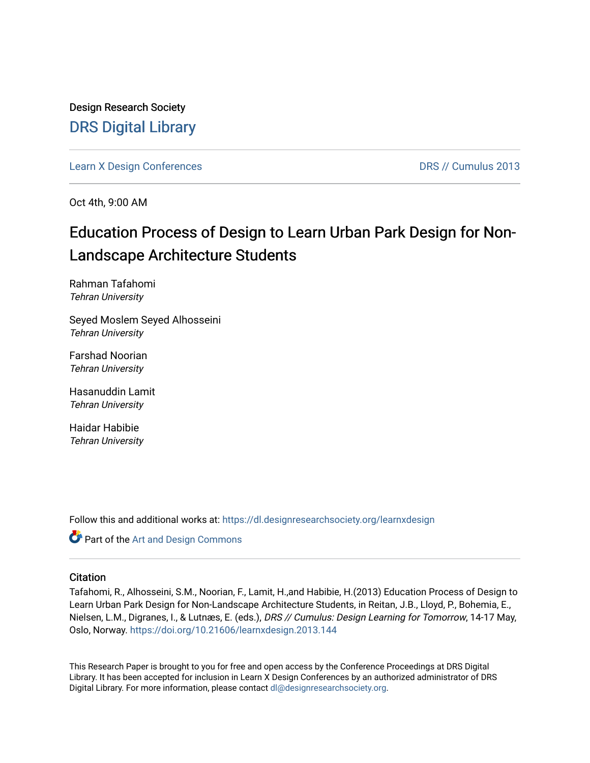Design Research Society [DRS Digital Library](https://dl.designresearchsociety.org/)

[Learn X Design Conferences](https://dl.designresearchsociety.org/learnxdesign) [DRS // Cumulus 2013](https://dl.designresearchsociety.org/learnxdesign/learnxdesign2013) 

Oct 4th, 9:00 AM

# Education Process of Design to Learn Urban Park Design for Non-Landscape Architecture Students

Rahman Tafahomi Tehran University

Seyed Moslem Seyed Alhosseini Tehran University

Farshad Noorian Tehran University

Hasanuddin Lamit Tehran University

Haidar Habibie Tehran University

Follow this and additional works at: [https://dl.designresearchsociety.org/learnxdesign](https://dl.designresearchsociety.org/learnxdesign?utm_source=dl.designresearchsociety.org%2Flearnxdesign%2Flearnxdesign2013%2Fresearchpapers%2F142&utm_medium=PDF&utm_campaign=PDFCoverPages)

Part of the [Art and Design Commons](http://network.bepress.com/hgg/discipline/1049?utm_source=dl.designresearchsociety.org%2Flearnxdesign%2Flearnxdesign2013%2Fresearchpapers%2F142&utm_medium=PDF&utm_campaign=PDFCoverPages)

#### **Citation**

Tafahomi, R., Alhosseini, S.M., Noorian, F., Lamit, H.,and Habibie, H.(2013) Education Process of Design to Learn Urban Park Design for Non-Landscape Architecture Students, in Reitan, J.B., Lloyd, P., Bohemia, E., Nielsen, L.M., Digranes, I., & Lutnæs, E. (eds.), DRS // Cumulus: Design Learning for Tomorrow, 14-17 May, Oslo, Norway.<https://doi.org/10.21606/learnxdesign.2013.144>

This Research Paper is brought to you for free and open access by the Conference Proceedings at DRS Digital Library. It has been accepted for inclusion in Learn X Design Conferences by an authorized administrator of DRS Digital Library. For more information, please contact [dl@designresearchsociety.org](mailto:dl@designresearchsociety.org).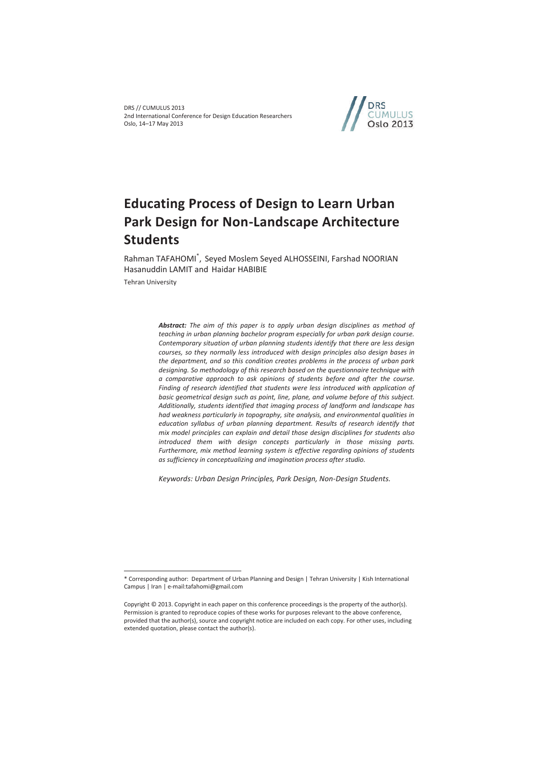DRS // CUMULUS 2013 2nd International Conference for Design Education Researchers Oslo, 14–17 May 2013



# **Educating Process of Design to Learn Urban Park Design for Non-Landscape Architecture Students**

Rahman TAFAHOMI\* , Seyed Moslem Seyed ALHOSSEINI, Farshad NOORIAN Hasanuddin LAMIT and Haidar HABIBIE

Tehran University

 $\overline{a}$ 

*Abstract: The aim of this paper is to apply urban design disciplines as method of teaching in urban planning bachelor program especially for urban park design course. Contemporary situation of urban planning students identify that there are less design courses, so they normally less introduced with design principles also design bases in the department, and so this condition creates problems in the process of urban park designing. So methodology of this research based on the questionnaire technique with a comparative approach to ask opinions of students before and after the course.*  Finding of research identified that students were less introduced with application of *basic geometrical design such as point, line, plane, and volume before of this subject. Additionally, students identified that imaging process of landform and landscape has had weakness particularly in topography, site analysis, and environmental qualities in education syllabus of urban planning department. Results of research identify that mix model principles can explain and detail those design disciplines for students also introduced them with design concepts particularly in those missing parts. Furthermore, mix method learning system is effective regarding opinions of students as sufficiency in conceptualizing and imagination process after studio.* 

*Keywords: Urban Design Principles, Park Design, Non-Design Students.* 

<sup>\*</sup> Corresponding author: Department of Urban Planning and Design | Tehran University | Kish International Campus | Iran | e-mail:tafahomi@gmail.com

Copyright © 2013. Copyright in each paper on this conference proceedings is the property of the author(s). Permission is granted to reproduce copies of these works for purposes relevant to the above conference, provided that the author(s), source and copyright notice are included on each copy. For other uses, including extended quotation, please contact the author(s).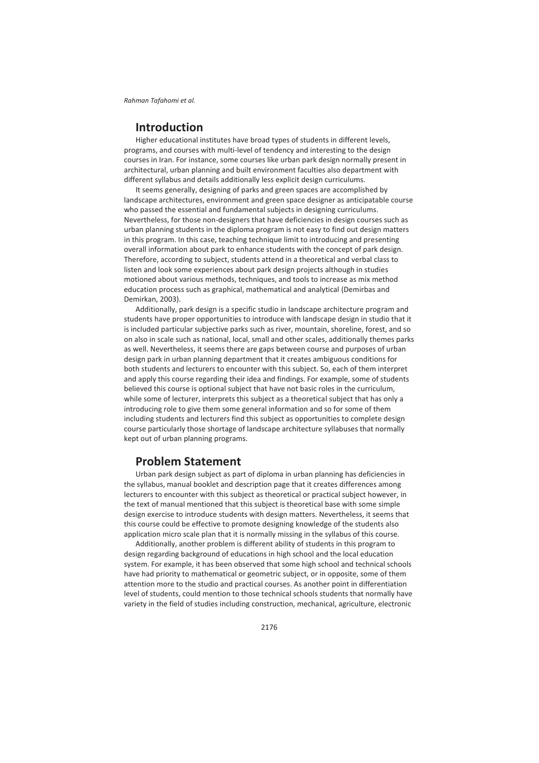# **Introduction**

Higher educational institutes have broad types of students in different levels, programs, and courses with multi-level of tendency and interesting to the design courses in Iran. For instance, some courses like urban park design normally present in architectural, urban planning and built environment faculties also department with different syllabus and details additionally less explicit design curriculums.

It seems generally, designing of parks and green spaces are accomplished by landscape architectures, environment and green space designer as anticipatable course who passed the essential and fundamental subjects in designing curriculums. Nevertheless, for those non-designers that have deficiencies in design courses such as urban planning students in the diploma program is not easy to find out design matters in this program. In this case, teaching technique limit to introducing and presenting overall information about park to enhance students with the concept of park design. Therefore, according to subject, students attend in a theoretical and verbal class to listen and look some experiences about park design projects although in studies motioned about various methods, techniques, and tools to increase as mix method education process such as graphical, mathematical and analytical (Demirbas and Demirkan, 2003).

Additionally, park design is a specific studio in landscape architecture program and students have proper opportunities to introduce with landscape design in studio that it is included particular subjective parks such as river, mountain, shoreline, forest, and so on also in scale such as national, local, small and other scales, additionally themes parks as well. Nevertheless, it seems there are gaps between course and purposes of urban design park in urban planning department that it creates ambiguous conditions for both students and lecturers to encounter with this subject. So, each of them interpret and apply this course regarding their idea and findings. For example, some of students believed this course is optional subject that have not basic roles in the curriculum, while some of lecturer, interprets this subject as a theoretical subject that has only a introducing role to give them some general information and so for some of them including students and lecturers find this subject as opportunities to complete design course particularly those shortage of landscape architecture syllabuses that normally kept out of urban planning programs.

## **Problem Statement**

Urban park design subject as part of diploma in urban planning has deficiencies in the syllabus, manual booklet and description page that it creates differences among lecturers to encounter with this subject as theoretical or practical subject however, in the text of manual mentioned that this subject is theoretical base with some simple design exercise to introduce students with design matters. Nevertheless, it seems that this course could be effective to promote designing knowledge of the students also application micro scale plan that it is normally missing in the syllabus of this course.

Additionally, another problem is different ability of students in this program to design regarding background of educations in high school and the local education system. For example, it has been observed that some high school and technical schools have had priority to mathematical or geometric subject, or in opposite, some of them attention more to the studio and practical courses. As another point in differentiation level of students, could mention to those technical schools students that normally have variety in the field of studies including construction, mechanical, agriculture, electronic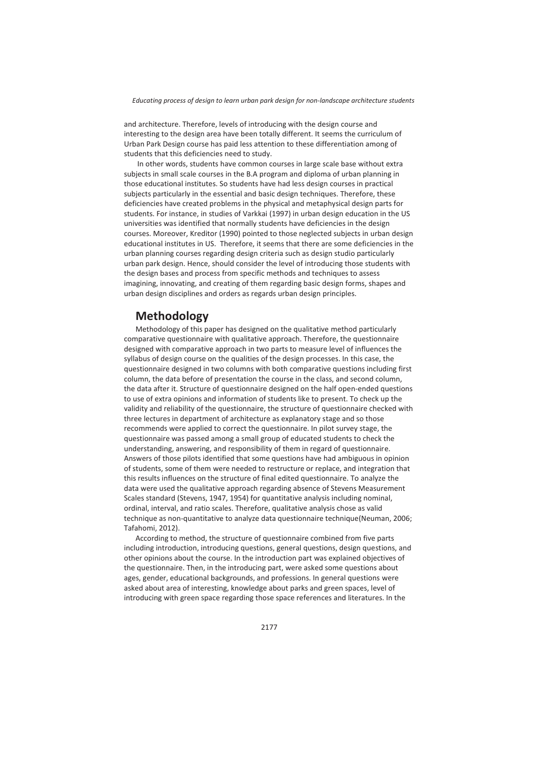*Educating process of design to learn urban park design for non-landscape architecture students* 

and architecture. Therefore, levels of introducing with the design course and interesting to the design area have been totally different. It seems the curriculum of Urban Park Design course has paid less attention to these differentiation among of students that this deficiencies need to study.

 In other words, students have common courses in large scale base without extra subjects in small scale courses in the B.A program and diploma of urban planning in those educational institutes. So students have had less design courses in practical subjects particularly in the essential and basic design techniques. Therefore, these deficiencies have created problems in the physical and metaphysical design parts for students. For instance, in studies of Varkkai (1997) in urban design education in the US universities was identified that normally students have deficiencies in the design courses. Moreover, Kreditor (1990) pointed to those neglected subjects in urban design educational institutes in US. Therefore, it seems that there are some deficiencies in the urban planning courses regarding design criteria such as design studio particularly urban park design. Hence, should consider the level of introducing those students with the design bases and process from specific methods and techniques to assess imagining, innovating, and creating of them regarding basic design forms, shapes and urban design disciplines and orders as regards urban design principles.

# **Methodology**

Methodology of this paper has designed on the qualitative method particularly comparative questionnaire with qualitative approach. Therefore, the questionnaire designed with comparative approach in two parts to measure level of influences the syllabus of design course on the qualities of the design processes. In this case, the questionnaire designed in two columns with both comparative questions including first column, the data before of presentation the course in the class, and second column, the data after it. Structure of questionnaire designed on the half open-ended questions to use of extra opinions and information of students like to present. To check up the validity and reliability of the questionnaire, the structure of questionnaire checked with three lectures in department of architecture as explanatory stage and so those recommends were applied to correct the questionnaire. In pilot survey stage, the questionnaire was passed among a small group of educated students to check the understanding, answering, and responsibility of them in regard of questionnaire. Answers of those pilots identified that some questions have had ambiguous in opinion of students, some of them were needed to restructure or replace, and integration that this results influences on the structure of final edited questionnaire. To analyze the data were used the qualitative approach regarding absence of Stevens Measurement Scales standard (Stevens, 1947, 1954) for quantitative analysis including nominal, ordinal, interval, and ratio scales. Therefore, qualitative analysis chose as valid technique as non-quantitative to analyze data questionnaire technique(Neuman, 2006; Tafahomi, 2012).

According to method, the structure of questionnaire combined from five parts including introduction, introducing questions, general questions, design questions, and other opinions about the course. In the introduction part was explained objectives of the questionnaire. Then, in the introducing part, were asked some questions about ages, gender, educational backgrounds, and professions. In general questions were asked about area of interesting, knowledge about parks and green spaces, level of introducing with green space regarding those space references and literatures. In the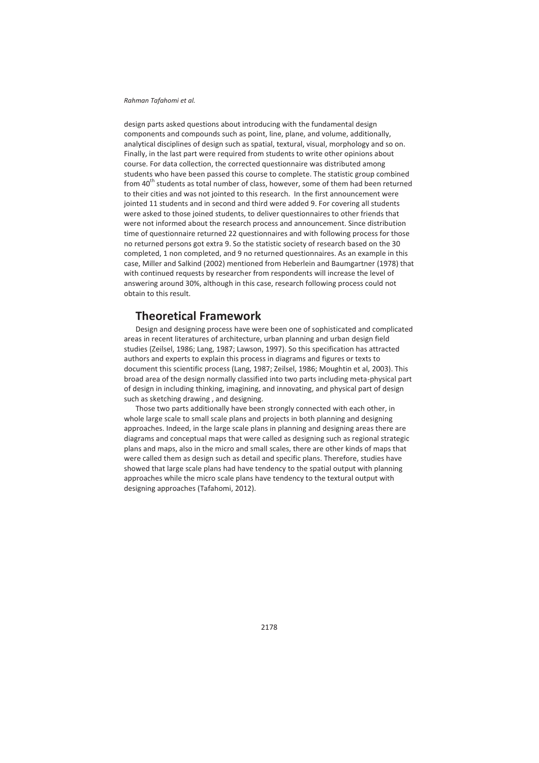design parts asked questions about introducing with the fundamental design components and compounds such as point, line, plane, and volume, additionally, analytical disciplines of design such as spatial, textural, visual, morphology and so on. Finally, in the last part were required from students to write other opinions about course. For data collection, the corrected questionnaire was distributed among students who have been passed this course to complete. The statistic group combined from 40<sup>th</sup> students as total number of class, however, some of them had been returned to their cities and was not jointed to this research. In the first announcement were jointed 11 students and in second and third were added 9. For covering all students were asked to those joined students, to deliver questionnaires to other friends that were not informed about the research process and announcement. Since distribution time of questionnaire returned 22 questionnaires and with following process for those no returned persons got extra 9. So the statistic society of research based on the 30 completed, 1 non completed, and 9 no returned questionnaires. As an example in this case, Miller and Salkind (2002) mentioned from Heberlein and Baumgartner (1978) that with continued requests by researcher from respondents will increase the level of answering around 30%, although in this case, research following process could not obtain to this result.

# **Theoretical Framework**

Design and designing process have were been one of sophisticated and complicated areas in recent literatures of architecture, urban planning and urban design field studies (Zeilsel, 1986; Lang, 1987; Lawson, 1997). So this specification has attracted authors and experts to explain this process in diagrams and figures or texts to document this scientific process (Lang, 1987; Zeilsel, 1986; Moughtin et al, 2003). This broad area of the design normally classified into two parts including meta-physical part of design in including thinking, imagining, and innovating, and physical part of design such as sketching drawing , and designing.

Those two parts additionally have been strongly connected with each other, in whole large scale to small scale plans and projects in both planning and designing approaches. Indeed, in the large scale plans in planning and designing areas there are diagrams and conceptual maps that were called as designing such as regional strategic plans and maps, also in the micro and small scales, there are other kinds of maps that were called them as design such as detail and specific plans. Therefore, studies have showed that large scale plans had have tendency to the spatial output with planning approaches while the micro scale plans have tendency to the textural output with designing approaches (Tafahomi, 2012).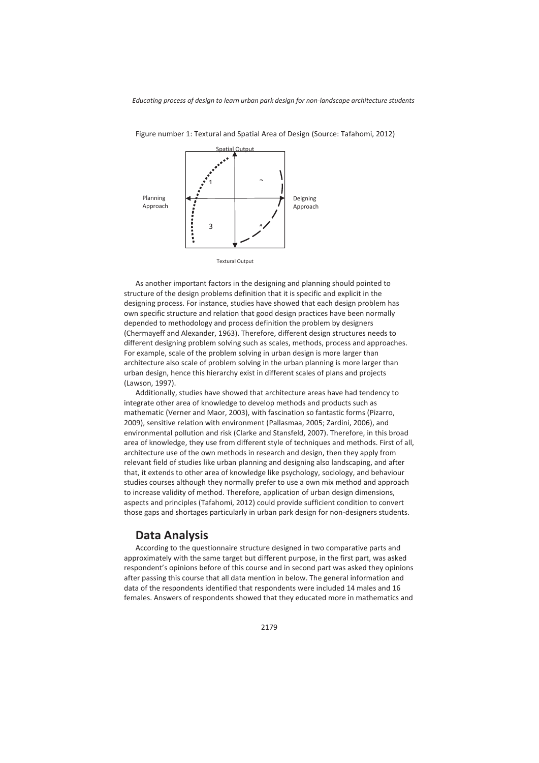

Figure number 1: Textural and Spatial Area of Design (Source: Tafahomi, 2012)

As another important factors in the designing and planning should pointed to structure of the design problems definition that it is specific and explicit in the designing process. For instance, studies have showed that each design problem has own specific structure and relation that good design practices have been normally depended to methodology and process definition the problem by designers (Chermayeff and Alexander, 1963). Therefore, different design structures needs to different designing problem solving such as scales, methods, process and approaches. For example, scale of the problem solving in urban design is more larger than architecture also scale of problem solving in the urban planning is more larger than urban design, hence this hierarchy exist in different scales of plans and projects (Lawson, 1997).

Additionally, studies have showed that architecture areas have had tendency to integrate other area of knowledge to develop methods and products such as mathematic (Verner and Maor, 2003), with fascination so fantastic forms (Pizarro, 2009), sensitive relation with environment (Pallasmaa, 2005; Zardini, 2006), and environmental pollution and risk (Clarke and Stansfeld, 2007). Therefore, in this broad area of knowledge, they use from different style of techniques and methods. First of all, architecture use of the own methods in research and design, then they apply from relevant field of studies like urban planning and designing also landscaping, and after that, it extends to other area of knowledge like psychology, sociology, and behaviour studies courses although they normally prefer to use a own mix method and approach to increase validity of method. Therefore, application of urban design dimensions, aspects and principles (Tafahomi, 2012) could provide sufficient condition to convert those gaps and shortages particularly in urban park design for non-designers students.

### **Data Analysis**

According to the questionnaire structure designed in two comparative parts and approximately with the same target but different purpose, in the first part, was asked respondent's opinions before of this course and in second part was asked they opinions after passing this course that all data mention in below. The general information and data of the respondents identified that respondents were included 14 males and 16 females. Answers of respondents showed that they educated more in mathematics and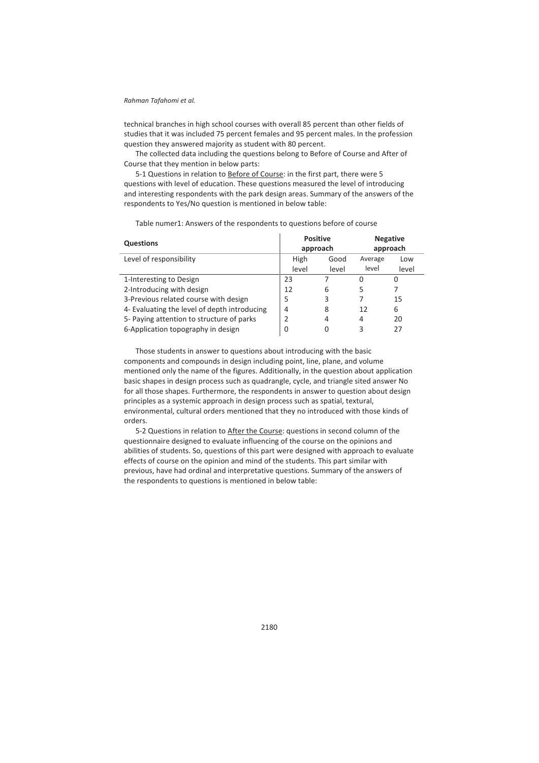technical branches in high school courses with overall 85 percent than other fields of studies that it was included 75 percent females and 95 percent males. In the profession question they answered majority as student with 80 percent.

The collected data including the questions belong to Before of Course and After of Course that they mention in below parts:

5-1 Questions in relation to Before of Course: in the first part, there were 5 questions with level of education. These questions measured the level of introducing and interesting respondents with the park design areas. Summary of the answers of the respondents to Yes/No question is mentioned in below table:

| <b>Questions</b>                             | <b>Positive</b><br>approach |               | <b>Negative</b><br>approach |              |
|----------------------------------------------|-----------------------------|---------------|-----------------------------|--------------|
| Level of responsibility                      | High<br>level               | Good<br>level | Average<br>level            | Low<br>level |
| 1-Interesting to Design                      | 23                          |               | O                           | 0            |
| 2-Introducing with design                    | 12                          | 6             | 5                           | 7            |
| 3-Previous related course with design        | 5                           | 3             |                             | 15           |
| 4- Evaluating the level of depth introducing | 4                           | 8             | 12                          | 6            |
| 5- Paying attention to structure of parks    | 2                           | 4             | 4                           | 20           |
| 6-Application topography in design           | 0                           | 0             | 3                           | 27           |

Table numer1: Answers of the respondents to questions before of course

Those students in answer to questions about introducing with the basic components and compounds in design including point, line, plane, and volume mentioned only the name of the figures. Additionally, in the question about application basic shapes in design process such as quadrangle, cycle, and triangle sited answer No for all those shapes. Furthermore, the respondents in answer to question about design principles as a systemic approach in design process such as spatial, textural, environmental, cultural orders mentioned that they no introduced with those kinds of orders.

5-2 Questions in relation to After the Course: questions in second column of the questionnaire designed to evaluate influencing of the course on the opinions and abilities of students. So, questions of this part were designed with approach to evaluate effects of course on the opinion and mind of the students. This part similar with previous, have had ordinal and interpretative questions. Summary of the answers of the respondents to questions is mentioned in below table: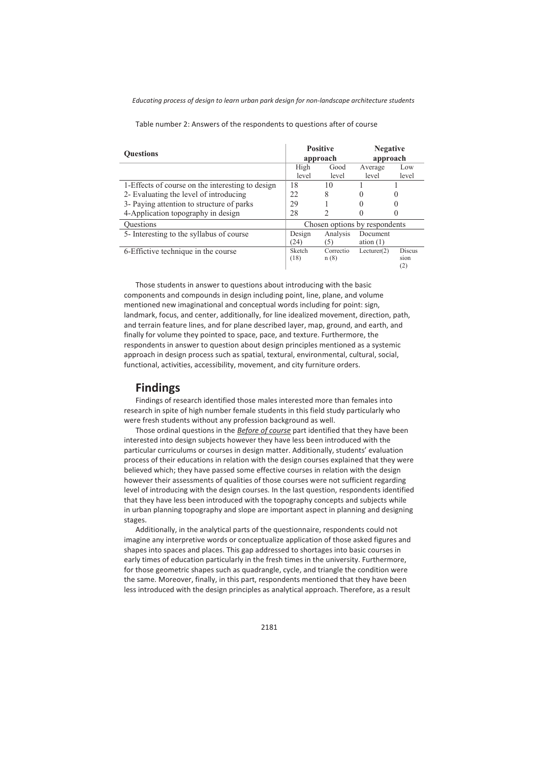*Educating process of design to learn urban park design for non-landscape architecture students* 

| <b>Ouestions</b>                                 | <b>Positive</b><br>approach   |                   | <b>Negative</b><br>approach |                              |
|--------------------------------------------------|-------------------------------|-------------------|-----------------------------|------------------------------|
|                                                  | High                          | Good              | Average                     | Low                          |
|                                                  | level                         | level             | level                       | level                        |
| 1-Effects of course on the interesting to design | 18                            | 10                |                             |                              |
| 2- Evaluating the level of introducing           | 22.                           | 8                 |                             |                              |
| 3- Paying attention to structure of parks        | 29                            |                   |                             |                              |
| 4-Application topography in design               | 28                            | 2                 |                             |                              |
| <b>Ouestions</b>                                 | Chosen options by respondents |                   |                             |                              |
| 5- Interesting to the syllabus of course         | Design                        | Analysis          | Document                    |                              |
|                                                  | (24)                          | (5)               | ation $(1)$                 |                              |
| 6-Effictive technique in the course              | Sketch<br>(18)                | Correctio<br>n(8) | Lecturer(2)                 | <b>Discus</b><br>sion<br>(2) |

Table number 2: Answers of the respondents to questions after of course

Those students in answer to questions about introducing with the basic components and compounds in design including point, line, plane, and volume mentioned new imaginational and conceptual words including for point: sign, landmark, focus, and center, additionally, for line idealized movement, direction, path, and terrain feature lines, and for plane described layer, map, ground, and earth, and finally for volume they pointed to space, pace, and texture. Furthermore, the respondents in answer to question about design principles mentioned as a systemic approach in design process such as spatial, textural, environmental, cultural, social, functional, activities, accessibility, movement, and city furniture orders.

# **Findings**

Findings of research identified those males interested more than females into research in spite of high number female students in this field study particularly who were fresh students without any profession background as well.

Those ordinal questions in the *Before of course* part identified that they have been interested into design subjects however they have less been introduced with the particular curriculums or courses in design matter. Additionally, students' evaluation process of their educations in relation with the design courses explained that they were believed which; they have passed some effective courses in relation with the design however their assessments of qualities of those courses were not sufficient regarding level of introducing with the design courses. In the last question, respondents identified that they have less been introduced with the topography concepts and subjects while in urban planning topography and slope are important aspect in planning and designing stages.

Additionally, in the analytical parts of the questionnaire, respondents could not imagine any interpretive words or conceptualize application of those asked figures and shapes into spaces and places. This gap addressed to shortages into basic courses in early times of education particularly in the fresh times in the university. Furthermore, for those geometric shapes such as quadrangle, cycle, and triangle the condition were the same. Moreover, finally, in this part, respondents mentioned that they have been less introduced with the design principles as analytical approach. Therefore, as a result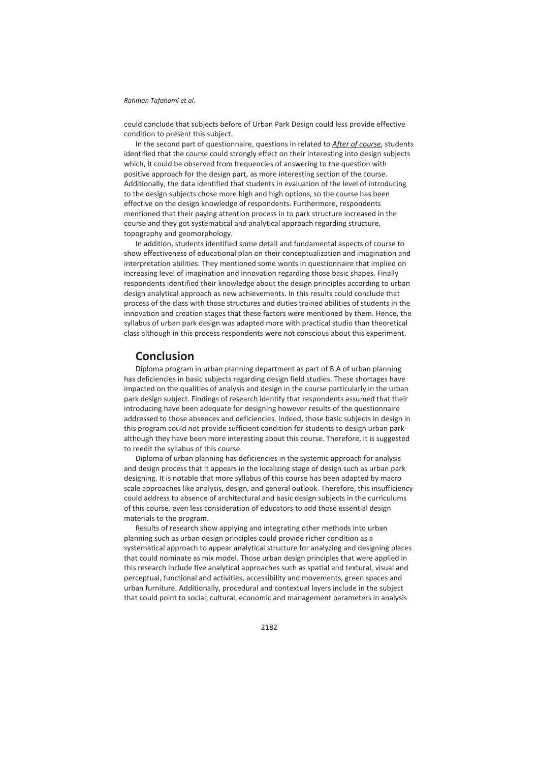could conclude that subjects before of Urban Park Design could less provide effective condition to present this subject.

In the second part of questionnaire, questions in related to *After of course*, students identified that the course could strongly effect on their interesting into design subjects which, it could be observed from frequencies of answering to the question with positive approach for the design part, as more interesting section of the course. Additionally, the data identified that students in evaluation of the level of introducing to the design subjects chose more high and high options, so the course has been effective on the design knowledge of respondents. Furthermore, respondents mentioned that their paying attention process in to park structure increased in the course and they got systematical and analytical approach regarding structure, topography and geomorphology.

In addition, students identified some detail and fundamental aspects of course to show effectiveness of educational plan on their conceptualization and imagination and interpretation abilities. They mentioned some words in questionnaire that implied on increasing level of imagination and innovation regarding those basic shapes. Finally respondents identified their knowledge about the design principles according to urban design analytical approach as new achievements. In this results could conclude that process of the class with those structures and duties trained abilities of students in the innovation and creation stages that these factors were mentioned by them. Hence, the syllabus of urban park design was adapted more with practical studio than theoretical class although in this process respondents were not conscious about this experiment.

## **Conclusion**

Diploma program in urban planning department as part of B.A of urban planning has deficiencies in basic subjects regarding design field studies. These shortages have impacted on the qualities of analysis and design in the course particularly in the urban park design subject. Findings of research identify that respondents assumed that their introducing have been adequate for designing however results of the questionnaire addressed to those absences and deficiencies. Indeed, those basic subjects in design in this program could not provide sufficient condition for students to design urban park although they have been more interesting about this course. Therefore, it is suggested to reedit the syllabus of this course.

Diploma of urban planning has deficiencies in the systemic approach for analysis and design process that it appears in the localizing stage of design such as urban park designing. It is notable that more syllabus of this course has been adapted by macro scale approaches like analysis, design, and general outlook. Therefore, this insufficiency could address to absence of architectural and basic design subjects in the curriculums of this course, even less consideration of educators to add those essential design materials to the program.

Results of research show applying and integrating other methods into urban planning such as urban design principles could provide richer condition as a systematical approach to appear analytical structure for analyzing and designing places that could nominate as mix model. Those urban design principles that were applied in this research include five analytical approaches such as spatial and textural, visual and perceptual, functional and activities, accessibility and movements, green spaces and urban furniture. Additionally, procedural and contextual layers include in the subject that could point to social, cultural, economic and management parameters in analysis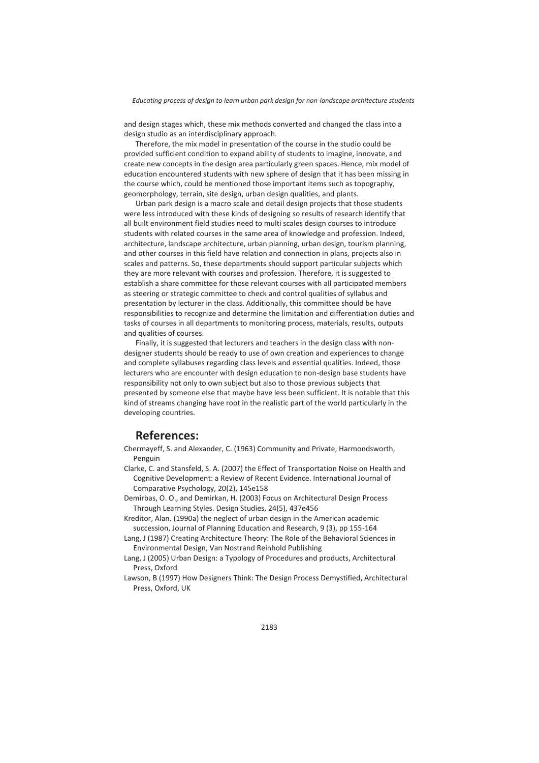*Educating process of design to learn urban park design for non-landscape architecture students* 

and design stages which, these mix methods converted and changed the class into a design studio as an interdisciplinary approach.

Therefore, the mix model in presentation of the course in the studio could be provided sufficient condition to expand ability of students to imagine, innovate, and create new concepts in the design area particularly green spaces. Hence, mix model of education encountered students with new sphere of design that it has been missing in the course which, could be mentioned those important items such as topography, geomorphology, terrain, site design, urban design qualities, and plants.

Urban park design is a macro scale and detail design projects that those students were less introduced with these kinds of designing so results of research identify that all built environment field studies need to multi scales design courses to introduce students with related courses in the same area of knowledge and profession. Indeed, architecture, landscape architecture, urban planning, urban design, tourism planning, and other courses in this field have relation and connection in plans, projects also in scales and patterns. So, these departments should support particular subjects which they are more relevant with courses and profession. Therefore, it is suggested to establish a share committee for those relevant courses with all participated members as steering or strategic committee to check and control qualities of syllabus and presentation by lecturer in the class. Additionally, this committee should be have responsibilities to recognize and determine the limitation and differentiation duties and tasks of courses in all departments to monitoring process, materials, results, outputs and qualities of courses.

Finally, it is suggested that lecturers and teachers in the design class with nondesigner students should be ready to use of own creation and experiences to change and complete syllabuses regarding class levels and essential qualities. Indeed, those lecturers who are encounter with design education to non-design base students have responsibility not only to own subject but also to those previous subjects that presented by someone else that maybe have less been sufficient. It is notable that this kind of streams changing have root in the realistic part of the world particularly in the developing countries.

# **References:**

Chermayeff, S. and Alexander, C. (1963) Community and Private, Harmondsworth, Penguin

- Clarke, C. and Stansfeld, S. A. (2007) the Effect of Transportation Noise on Health and Cognitive Development: a Review of Recent Evidence. International Journal of Comparative Psychology, 20(2), 145e158
- Demirbas, O. O., and Demirkan, H. (2003) Focus on Architectural Design Process Through Learning Styles. Design Studies, 24(5), 437e456
- Kreditor, Alan. (1990a) the neglect of urban design in the American academic succession, Journal of Planning Education and Research, 9 (3), pp 155-164
- Lang, J (1987) Creating Architecture Theory: The Role of the Behavioral Sciences in Environmental Design, Van Nostrand Reinhold Publishing
- Lang, J (2005) Urban Design: a Typology of Procedures and products, Architectural Press, Oxford
- Lawson, B (1997) How Designers Think: The Design Process Demystified, Architectural Press, Oxford, UK